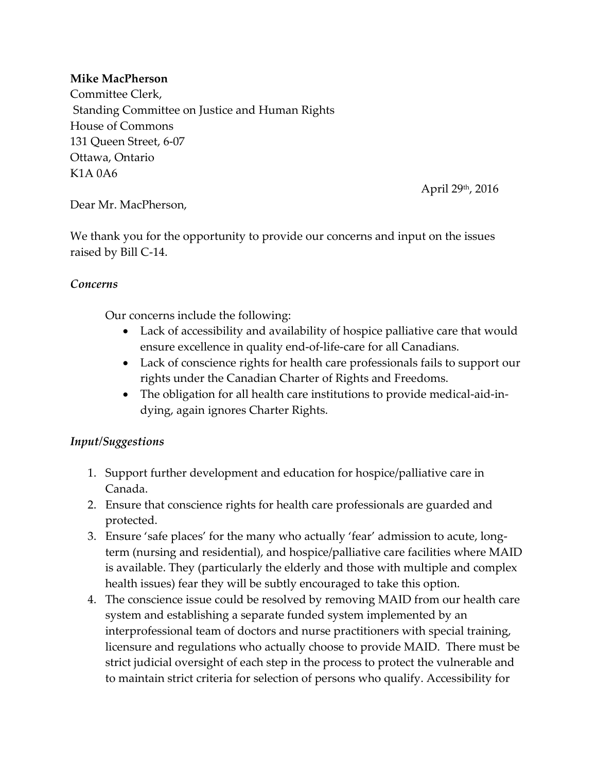## **Mike MacPherson**

Committee Clerk, Standing Committee on Justice and Human Rights House of Commons 131 Queen Street, 6-07 Ottawa, Ontario K1A 0A6

April 29th, 2016

Dear Mr. MacPherson,

We thank you for the opportunity to provide our concerns and input on the issues raised by Bill C-14.

## *Concerns*

Our concerns include the following:

- Lack of accessibility and availability of hospice palliative care that would ensure excellence in quality end-of-life-care for all Canadians.
- Lack of conscience rights for health care professionals fails to support our rights under the Canadian Charter of Rights and Freedoms.
- The obligation for all health care institutions to provide medical-aid-indying, again ignores Charter Rights.

## *Input/Suggestions*

- 1. Support further development and education for hospice/palliative care in Canada.
- 2. Ensure that conscience rights for health care professionals are guarded and protected.
- 3. Ensure 'safe places' for the many who actually 'fear' admission to acute, longterm (nursing and residential), and hospice/palliative care facilities where MAID is available. They (particularly the elderly and those with multiple and complex health issues) fear they will be subtly encouraged to take this option.
- 4. The conscience issue could be resolved by removing MAID from our health care system and establishing a separate funded system implemented by an interprofessional team of doctors and nurse practitioners with special training, licensure and regulations who actually choose to provide MAID. There must be strict judicial oversight of each step in the process to protect the vulnerable and to maintain strict criteria for selection of persons who qualify. Accessibility for